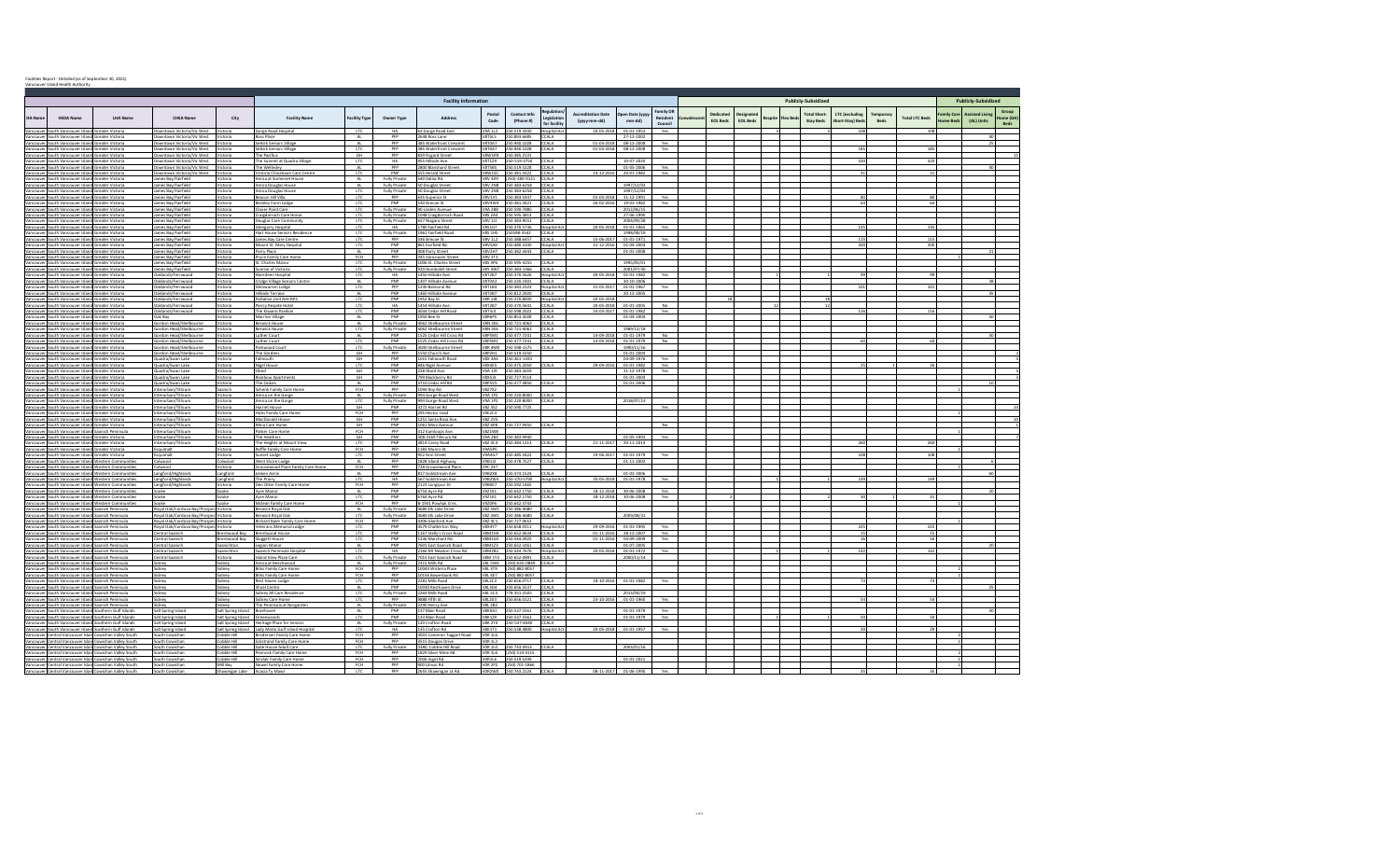|  |  | Facilities Report - Detailed (as of September 30, 2021) |  |  |  |  |  |
|--|--|---------------------------------------------------------|--|--|--|--|--|
|--|--|---------------------------------------------------------|--|--|--|--|--|

|               | Vancouver Island Health Authorit                                                                         |                                                                                                                    |                                                                                  |                                                               |                                                                                  |                               |                                       |                                                    |                                 |                                                          |                                           |                                  |                                |                                         |                              |                 |                            |                                        |                                          |      |                       |           |                             |                                  |  |  |  |
|---------------|----------------------------------------------------------------------------------------------------------|--------------------------------------------------------------------------------------------------------------------|----------------------------------------------------------------------------------|---------------------------------------------------------------|----------------------------------------------------------------------------------|-------------------------------|---------------------------------------|----------------------------------------------------|---------------------------------|----------------------------------------------------------|-------------------------------------------|----------------------------------|--------------------------------|-----------------------------------------|------------------------------|-----------------|----------------------------|----------------------------------------|------------------------------------------|------|-----------------------|-----------|-----------------------------|----------------------------------|--|--|--|
|               |                                                                                                          |                                                                                                                    |                                                                                  |                                                               |                                                                                  |                               |                                       |                                                    | <b>Facility Information</b>     |                                                          |                                           |                                  |                                |                                         |                              |                 | <b>Publicly-Subsidized</b> |                                        |                                          |      |                       |           |                             |                                  |  |  |  |
| <b>HA Nam</b> | <b>HSDA Name</b>                                                                                         | <b>LHA Name</b>                                                                                                    | <b>CHSA Name</b>                                                                 | City                                                          | <b>Facility Name</b>                                                             | <b>Facility Typ</b>           | Owner Type                            | <b>Address</b>                                     | Posta<br>Code                   | Contact Info<br>(Phone #)                                | Regulation<br>Legislation<br>for facility | creditation Date<br>(yyyy-mm-dd) | pen Date (yyyy-<br>mm-dd)      | Family OF<br><b>Resident</b><br>Council | Dedicated<br><b>FOI Beds</b> | <b>EOL Bed:</b> |                            | <b>Total Short</b><br><b>Stay Beds</b> | <b>LTC</b> (excluding<br>Short-Stay) Bed | Bed: | <b>Total LTC Beds</b> | mily Care | ssisted Livin<br>(AL) Units | Group<br>lome (GF<br><b>Beds</b> |  |  |  |
| Vancouver     | South Vancouver Island Greater Victoria<br>Vancouver South Vancouver Island Greater Victoria             |                                                                                                                    | Downtown Victoria/Vic West<br>Downtown Victoria/Vic West Victoria                | Victoria                                                      | Gorge Road Hospital                                                              | LTC                           | HA<br>PFP                             | 63 Gorge Road East<br>2638 Ross Lane               | V9A 1L2<br><b>V8T5L5</b>        | 250.519.3500<br>250.893.6685                             | <b>Hospital Act</b><br>CCALA              | 20-05-201                        | 01-01-1953<br>27-12-2002       | Yes                                     |                              |                 |                            |                                        | 108                                      |      | 108                   |           |                             |                                  |  |  |  |
|               | Vancouver South Vancouver Island Greater Victoria                                                        |                                                                                                                    | Downtown Victoria/Vic West                                                       | Victoria                                                      | Ross Place<br>Selkirk Seniors Village                                            | AL<br>AL.                     | PFP                                   | 385 Waterfront Crescent                            | V8T0A7                          | 250.940.1028                                             | CCALA                                     | $01 - 03 - 201$                  | 08-12-2008                     | Yes                                     |                              |                 |                            |                                        |                                          |      |                       |           | -40<br>25                   |                                  |  |  |  |
|               | Vancouver South Vancouver Island Greater Victoria                                                        |                                                                                                                    | Downtown Victoria/Vic West                                                       | Victoria                                                      | Selkirk Seniors Village                                                          | LTC                           | PFP<br>PFP                            | 385 Waterfront Crescent                            | <b>V8W1R9</b>                   | V8T0A7 250.940.1028<br>250.385.2131                      | CCALA                                     | $01 - 03 - 2018$                 | 08-12-2008                     | Yes                                     |                              |                 |                            |                                        | 185                                      |      | 185                   |           |                             |                                  |  |  |  |
|               | Vancouver South Vancouver Island Greater Victoria<br>Vancouver South Vancouver Island Greater Victoria   |                                                                                                                    | Downtown Victoria/Vic West<br>Downtown Victoria/Vic West                         | Victoria<br>Victoria                                          | The Pacifica<br>The Summit at Quadra Villag                                      | GH<br>LTC                     | <b>HA</b>                             | 829 Fisgard Street<br>955 Hillside Ave.            |                                 | V8T1Z9 250-519-3750                                      | <b>CCALA</b>                              |                                  | 10-07-2020                     |                                         |                              |                 |                            |                                        | 320                                      |      | 320                   |           |                             |                                  |  |  |  |
|               | Vancouver South Vancouver Island Greater Victoria                                                        |                                                                                                                    | Downtown Victoria/Vic West                                                       | Victoria                                                      | The Wellesley                                                                    | AL.                           | PFP                                   | 2800 Blanshard Street                              | V8T5B5                          | 250.519.5228                                             | CCALA                                     |                                  | 01-05-2006                     | Yes                                     |                              |                 |                            |                                        |                                          |      |                       |           |                             |                                  |  |  |  |
|               | Vancouver South Vancouver Island Greater Victoria<br>Vancouver South Vancouver Island Greater Victoria   |                                                                                                                    | Downtown Victoria/Vic West<br>James Bay/Fairfield                                | Victoria<br>Victoria                                          | Victoria Chinatown Care Centr<br>Amica at Somerset House                         | LTC<br>AL                     | PNP<br><b>Fully Private</b>           | 555 Herald Street<br>540 Dallas Rd.                |                                 | V8W1S5 250.381.4322<br>V8V 4X9 (250)-380-9121            | CCALA<br>CCALA                            | $14 - 12 - 20$                   | 20-01-1982                     | Yes                                     |                              |                 |                            |                                        |                                          |      |                       |           |                             |                                  |  |  |  |
|               | Vancouver South Vancouver Island Greater Victoria                                                        |                                                                                                                    | James Bay/Fairfield                                                              | Victoria                                                      | Amica Douglas House                                                              | AL.                           | <b>Fully Private</b>                  | 50 Douglas Street                                  |                                 | V8V 2N8 250 383-6258 CCALA                               |                                           |                                  | 1997/12/02                     |                                         |                              |                 |                            |                                        |                                          |      |                       |           |                             |                                  |  |  |  |
|               | Vancouver South Vancouver Island Greater Victoria<br>Vancouver South Vancouver Island Greater Victoria   |                                                                                                                    | James Bay/Fairfield<br>James Bay/Fairfield                                       | Victoria<br>Victoria                                          | Amica Douglas House<br>Beacon Hill Villa                                         | LTC<br><b>LTC</b>             | <b>Fully Private</b><br>PFP           | 50 Douglas Street<br>635 Superior St               |                                 | V8V 2N8 250 383-6258 CCALA<br>V8V1V1 250.383.5447 CCALA  |                                           | 01-03-2018                       | 1997/12/02<br>31-12-1991       | Yes                                     |                              |                 |                            |                                        | 80                                       |      | -80 l                 |           |                             |                                  |  |  |  |
|               | Vancouver South Vancouver Island Greater Victoria                                                        |                                                                                                                    | James Bay/Fairfield                                                              | Victoria                                                      | Beckley Farm Lodge                                                               | <b>LTC</b>                    | PNP                                   | 530 Simcoe St                                      |                                 | VRV4W4 250 381 4421 CCALA                                |                                           | 26-02-2016                       | 19-03-1982 Yes                 |                                         |                              |                 |                            |                                        | 64                                       |      | 64                    |           |                             |                                  |  |  |  |
|               | Vancouver South Vancouver Island Greater Victoria                                                        |                                                                                                                    | James Bay/Fairfield<br>James Bay/Fairfield                                       | Victoria<br>Victoria                                          | Clover Point Care<br>Craigdarroch Care Home                                      | <b>LTC</b><br>LTC             | <b>Fully Private</b><br>Fully Private | 90 Linden Avenue<br>1048 Craigdarroch Road         |                                 | V9A 2B8 250 590-7885 CCALA<br>V8S 2A4 250 595.3813 CCALA |                                           |                                  | 2012/06/15<br>27-06-1990       |                                         |                              |                 |                            |                                        |                                          |      |                       |           |                             |                                  |  |  |  |
|               | Vancouver South Vancouver Island Greater Victoria<br>Vancouver South Vancouver Island Greater Victoria   |                                                                                                                    | James Bay/Fairfield                                                              | Victoria                                                      | Douglas Care Community                                                           | LTC                           | Fully Private                         | <b>657 Niagara Street</b>                          |                                 | V8V 1J1 250 383-9011                                     | CCALA                                     |                                  | 2004/09/28                     |                                         |                              |                 |                            |                                        |                                          |      |                       |           |                             |                                  |  |  |  |
|               | Vancouver South Vancouver Island Greater Victoria                                                        |                                                                                                                    | James Bay/Fairfield<br>James Bay/Fairfield                                       | Victoria<br>Victoria                                          | Glengarry Hospital<br>Hart House Seniors Residenc                                | LTC                           | HA<br>Fully Private                   | 1780 Fairfield Rd.<br>1961 Fairfield Road          |                                 | V8S1G7 250.370.5736 Hospital Act<br>VRS 1HS 250598-3542  | CCALA                                     | 20-05-2018                       | 01-01-1965<br>1998/08/19       | Yes                                     |                              |                 |                            |                                        | 135                                      |      | 135                   |           |                             |                                  |  |  |  |
|               | Vancouver South Vancouver Island Greater Victoria<br>Vancouver South Vancouver Island Greater Victoria   |                                                                                                                    | James Bay/Fairfield                                                              | Victoria                                                      | James Bay Care Centre                                                            | LTC<br>LTC                    | <b>PEP</b>                            | 336 Simcoe St                                      |                                 | V8V 1L2 250.388.6457 CCALA                               |                                           | 15-06-201                        | $01 - 01 - 1971$               | Yes                                     |                              |                 |                            |                                        | 115                                      |      | 115                   |           |                             |                                  |  |  |  |
|               | Vancouver South Vancouver Island Greater Victoria                                                        |                                                                                                                    | James Bay/Fairfield                                                              | Victoria                                                      | Mount St. Mary Hospital                                                          | LTC                           | PNP                                   | 861 Fairfield Rd                                   |                                 | V8VSA9 250.480.3100                                      | <b>Hospital Act</b>                       | $31 - 12 - 2016$                 | 01-04-2003                     | Yes                                     |                              |                 |                            |                                        | 200                                      |      | 200                   |           |                             |                                  |  |  |  |
|               | Vancouver South Vancouver Island Greater Victoria<br>Vancouver South Vancouver Island Greater Victoria   |                                                                                                                    | James Bay/Fairfield<br>James Bay/Fairfield                                       | Victoria<br>Victoria                                          | Parry Place<br>Pryce Family Care Home                                            | AL<br><b>FCH</b>              | PNP<br><b>PEP</b>                     | 408 Parry Street<br>345 Vancouver Stree            | VRV 3T3                         | V8V2H7 250.382.4443                                      | CCALA                                     |                                  | $01 - 01 - 2008$               |                                         |                              |                 |                            |                                        |                                          |      |                       |           |                             |                                  |  |  |  |
|               | Vancouver South Vancouver Island Greater Victoria                                                        |                                                                                                                    | lames Bay/Fairfield                                                              | Victoria                                                      | St. Charles Manor                                                                | LTC                           | Fully Private                         | 1006 St. Charles Street                            |                                 | V8S 3P6 250 595-4255                                     | CCALA                                     |                                  | 1995/05/01                     |                                         |                              |                 |                            |                                        |                                          |      |                       |           |                             |                                  |  |  |  |
|               | Vancouver South Vancouver Island Greater Victoria<br>Vancouver South Vancouver Island Greater Victoria   |                                                                                                                    | James Bay/Fairfield<br>Daklands/Fernwoor                                         | Victoria<br>Victoria                                          | Sunrise of Victoria<br>Aberdeen Hospita                                          | LTC<br>LTC                    | Fully Private<br><b>HA</b>            | 920 Humboldt Street<br>1450 Hillside Ave           |                                 | V8Y 4W7 250 383-1366 CCALA<br>V8T2B7 250.370.5626        | Hospital Ac                               | 20-05-2018                       | 2001/07/30<br>01-01-1982       |                                         |                              |                 |                            |                                        |                                          |      |                       |           |                             |                                  |  |  |  |
|               | Vancouver South Vancouver Island Greater Victoria                                                        |                                                                                                                    | Oaklands/Fernwood                                                                | Victoria                                                      | Cridge Village Seniors Centre                                                    | AL                            | PNP                                   | 1307 Hillside Avenue                               |                                 | V8T0A2 250.220.2301                                      | CCALA                                     |                                  | 30-10-2006                     |                                         |                              |                 |                            |                                        |                                          |      |                       |           |                             |                                  |  |  |  |
|               | Vancouver South Vancouver Island Greater Victoria<br>Vancouver South Vancouver Island Greater Victoria   |                                                                                                                    | Jaklands/Fernwood<br>Daklands/Fernwood                                           | Victoria<br>Victoria                                          | Slenwarren Lodg<br>Hillside Terrace                                              | LTC<br>$\mathbb{A}\mathsf{L}$ | PFP<br>PNP                            | 1230 Balmoral Rd<br>1460 Hillside Avenu            | <b>V8T2B7</b>                   | V8T1B3 250.383.2323<br>250.812.2920                      | Hospital Act<br>CCALA                     | $31 - 05 - 20$                   | $01 - 01 - 1967$<br>20-12-2005 |                                         |                              |                 |                            |                                        | 101                                      |      | 101                   |           |                             |                                  |  |  |  |
|               | Vancouver South Vancouver Island Greater Victoria                                                        |                                                                                                                    | Jaklands/Fernwood                                                                | Victoria                                                      | Palliative Unit RJH-RP                                                           | LTC                           | PNP                                   | 1952 Bay St.                                       |                                 | V8R 1J8 250.370.8000                                     | Hospital Act                              | $20 - 05 - 20$                   |                                |                                         |                              |                 |                            |                                        |                                          |      |                       |           |                             |                                  |  |  |  |
|               | Vancouver South Vancouver Island Greater Victoria                                                        |                                                                                                                    | Oaklands/Fernwood                                                                | Victoria                                                      | Piercy Respite Hotel                                                             | LTC                           | <b>HA</b><br>PNP                      | 1454 Hillside Ave.                                 | <b>V8T2B7</b>                   | 250.370.5641                                             | <b>CCALA</b>                              | 20-05-2018                       | $01 - 01 - 2005$               | No                                      |                              |                 |                            |                                        |                                          |      |                       |           |                             |                                  |  |  |  |
|               | Vancouver South Vancouver Island Greater Victoria<br>Vancouver South Vancouver Island Greater Victoria   |                                                                                                                    | Daklands/Fernwood<br>Oak Bay                                                     | Victoria<br>Victoria                                          | The Kiwanis Pavilio<br>Marrion Village                                           | LTC<br>AL                     | PNP                                   | 3034 Cedar Hill Road<br>1950 Bee St                |                                 | V8T3J3 250.598.2022<br>V8R6P5 250.853.3028               | CCALA<br>CCALA                            | 24-03-201                        | 01-01-1982<br>$01 - 04 - 2004$ | Yes                                     |                              |                 |                            |                                        | 116                                      |      | 116                   |           |                             |                                  |  |  |  |
|               | Vancouver South Vancouver Island Greater Victoria                                                        |                                                                                                                    | Sordon Head/Shelbourne                                                           | Victoria                                                      | <b>Berwick House</b>                                                             | $\mathbb{A}\mathsf{L}$        | Fully Private                         | 4062 Shelbourne Stree                              |                                 | V8N 3E6 250 721-4062                                     | CCALA                                     |                                  |                                |                                         |                              |                 |                            |                                        |                                          |      |                       |           |                             |                                  |  |  |  |
|               | Vancouver South Vancouver Island Greater Victoria<br>Vancouver South Vancouver Island Greater Victoria   |                                                                                                                    | Gordon Head/Shelbourne<br>Sordon Head/Shelbourne                                 | Victoria<br>Victoria                                          | Berwick House<br>Luther Court                                                    | LTC<br>$\mathbb{A}\mathsf{L}$ | Fully Private<br>PNP                  | 4062 Shelbourne Street<br>1525 Cedar Hill Cross Rd | <b>V8P5M1</b>                   | V8N 3E6 250 721-4062<br>250.477.7241                     | CCALA<br>CCALA                            | 14-09-201                        | 1989/12/18<br>01-01-1979       | No                                      |                              |                 |                            |                                        |                                          |      |                       |           |                             |                                  |  |  |  |
|               | Vancouver South Vancouver Island Greater Victoria                                                        |                                                                                                                    | Gordon Head/Shelbourne                                                           | Victoria                                                      | Luther Court                                                                     | LTC                           | PNP                                   | 1525 Cedar Hill Cross Rd                           | <b>V8P5M1</b>                   | 250.477.7241                                             | CCALA                                     | 14-09-201                        | 01-01-1979                     | No                                      |                              |                 |                            |                                        |                                          |      |                       |           |                             |                                  |  |  |  |
|               | Vancouver South Vancouver Island Greater Victoria                                                        |                                                                                                                    | Gordon Head/Shelbourne                                                           | Victoria                                                      | Parkwood Court                                                                   | LTC<br>GH                     | <b>Fully Private</b><br>PFP           | 3000 Shelbourne Street                             |                                 | V8R 4M8 250 598-1575                                     | CCALA                                     |                                  | 1990/11/16                     |                                         |                              |                 |                            |                                        |                                          |      |                       |           |                             |                                  |  |  |  |
|               | Vancouver South Vancouver Island Greater Victoria<br>Vancouver South Vancouver Island Greater Victoria   |                                                                                                                    | Gordon Head/Shelbourne<br>Quadra/Swan Lake                                       | Victoria<br>Victoria                                          | The Gardens<br>Falmouth                                                          | GH                            | PNP                                   | 1550 Church Ave<br>1015 Falmouth Road              | <b>V8P2H1</b>                   | 250.519.5250<br>V8X 3A6 250.361-1593                     |                                           |                                  | 01-01-2004<br>04-09-1976       | Yes                                     |                              |                 |                            |                                        |                                          |      |                       |           |                             |                                  |  |  |  |
|               | Vancouver South Vancouver Island Greater Victoria                                                        |                                                                                                                    | Quadra/Swan Lake                                                                 | Victoria                                                      | Nizel House                                                                      | LTC                           | PNP<br>PNP                            | 846 Nigel Avenue                                   | V8X4E5                          | 250.475.2050                                             | CCALA                                     | 29-09-201                        | 01-01-1982                     | Yes                                     |                              |                 |                            |                                        |                                          |      |                       |           |                             |                                  |  |  |  |
|               | Vancouver South Vancouver Island Greater Victoria<br>Vancouver South Vancouver Island Greater Victoria   |                                                                                                                    | Quadra/Swan Lake<br>Quadra/Swan Lake                                             | Victoria<br>Victoria                                          | Obed<br><b>Rainbow Apartments</b>                                                | GH<br>GH                      | PFP                                   | 238 Obed Ave.<br>799 Blackberry Rd                 |                                 | V9A 1J9 250.383.2659<br>V8X5J3 250.727.9114              |                                           |                                  | 31-12-1978<br>01-01-2004       | Yes                                     |                              |                 |                            |                                        |                                          |      |                       |           |                             |                                  |  |  |  |
|               | Vancouver South Vancouver Island Greater Victoria                                                        |                                                                                                                    | Quadra/Swan Lake                                                                 | Victoria                                                      | The Cedars                                                                       | $AL$                          | PNP                                   | 3710 Cedar Hill Rd                                 |                                 | V8P5V5 250.477.4850                                      | CCALA                                     |                                  | 01-01-2006                     |                                         |                              |                 |                            |                                        |                                          |      |                       |           |                             |                                  |  |  |  |
|               | Vancouver South Vancouver Island Greater Victoria<br>Vancouver South Vancouver Island Greater Victoria   |                                                                                                                    | nterurban/Tillicum<br>nterurban/Tillicum                                         | Saanich<br>Victoria                                           | Schenk Family Care Home<br>Amica on the Gorge                                    | FCH<br>AL.                    | PFP<br>Fully Private                  | 1094 Roy Rd<br>994 Gorge Road West                 | V827X2                          | V9A 1P2 250 220-8000 CCALA                               |                                           |                                  |                                |                                         |                              |                 |                            |                                        |                                          |      |                       |           |                             |                                  |  |  |  |
|               | Vancouver South Vancouver Island Greater Victoria                                                        |                                                                                                                    | nterurban/Tillicum                                                               | Victoria                                                      | Amica on the Gorge                                                               | LTC                           | Fully Private                         | 994 Gorge Road West                                |                                 | V9A 1P2 250 220-8000                                     | CCALA                                     |                                  | 2018/07/13                     |                                         |                              |                 |                            |                                        |                                          |      |                       |           |                             |                                  |  |  |  |
|               | Vancouver South Vancouver Island Greater Victoria                                                        |                                                                                                                    | nterurban/Tillicum<br>Interurban/Tillicum                                        | Victoria<br>Victoria                                          | Harriet House<br><b>Hicks Family Care Home</b>                                   | GH<br><b>FCH</b>              | PNP<br>PFP                            | 3272 Harriet Rd<br>295 Hector road                 | V9E2C3                          | V8Z 3S2 250.590.7725                                     |                                           |                                  |                                | Yes                                     |                              |                 |                            |                                        |                                          |      |                       |           |                             |                                  |  |  |  |
|               | Vancouver South Vancouver Island Greater Victoria<br>Vancouver South Vancouver Island Greater Victoria   |                                                                                                                    | Interurban/Tillicum                                                              | Victoria                                                      | MacDonald House                                                                  | GH                            | PNP                                   | 1251 Santa Rosa Ave                                | <b>V8Z 2V5</b>                  |                                                          |                                           |                                  |                                |                                         |                              |                 |                            |                                        |                                          |      |                       |           |                             |                                  |  |  |  |
|               | Vancouver South Vancouver Island Greater Victoria<br>Vancouver South Vancouver Island Saanich Peninsula  |                                                                                                                    | Interurban/Tillicum<br>Interurban/Tillicum                                       | Victoria<br>Victoria                                          | Mina Care Home<br>Parker Care Home                                               | GH<br>FCH                     | PNP<br><b>PFP</b>                     | 1061 Mina Avenue<br>312 Kamloops Ave.              | V8Z1W8                          | V8Z 6P8 250.727.9450                                     | CCALA                                     |                                  |                                | <b>No</b>                               |                              |                 |                            |                                        |                                          |      |                       |           |                             |                                  |  |  |  |
|               | Vancouver South Vancouver Island Greater Victoria                                                        |                                                                                                                    | Interurban/Tillicum                                                              | Victoria                                                      | The Heathers                                                                     | GH                            | PNP                                   | 308-3169 Tillicum Rd                               |                                 | V9A 2R4 250 383 9940                                     |                                           |                                  | 01-05-1993                     | Yes                                     |                              |                 |                            |                                        |                                          |      |                       |           |                             |                                  |  |  |  |
|               | Vancouver South Vancouver Island Greater Victoria                                                        |                                                                                                                    | Interurban/Tillicum                                                              | Victoria                                                      | The Heights at Mount View                                                        | LTC                           | PNP                                   | 3814 Carey Road                                    |                                 | V8Z 4C4 250.384.1313                                     | CCALA                                     | 21-11-2017                       | 20-11-2014                     |                                         |                              |                 |                            |                                        | 260                                      |      | 260                   |           |                             |                                  |  |  |  |
|               | Vancouver South Vancouver Island Greater Victoria<br>Vancouver South Vancouver Island Greater Victoria   |                                                                                                                    | Esquimalt<br>Esquimalt                                                           | Victoria<br>Victoria                                          | Raffle Family Care Home<br>Sunset Lodge                                          | <b>FCH</b><br>LTC             | <b>PFP</b><br>PNP                     | 1183 Munro St<br>952 Arm Street                    | <b>VRASPS</b><br><b>V9A4G7</b>  | 250.385.3422                                             | CCALA                                     | 19-06-2017                       | 01-01-1979                     | Yes                                     |                              |                 |                            |                                        | 108                                      |      | 108                   |           |                             |                                  |  |  |  |
|               |                                                                                                          | Vancouver South Vancouver Island Western Communities                                                               | hoowlo <sup>2</sup>                                                              | Colwood                                                       | West Shore Lodge                                                                 | $\Delta I$                    | <b>PFP</b>                            | 1828 Island Highway                                |                                 | V9B1J2 250.478.7527                                      | CCALA                                     |                                  | $01 - 11 - 2002$               |                                         |                              |                 |                            |                                        |                                          |      |                       |           |                             |                                  |  |  |  |
|               |                                                                                                          | Vancouver South Vancouver Island Western Communities<br>Vancouver South Vancouver Island Western Communities       | Colwood<br>Langford/Highlands                                                    | Victoria<br>Langford                                          | Grousewood Place Family Care Home<br>lesken Aerie                                | FCH<br>$\Delta I$             | PFP<br>PNP                            | 728 Grousewood Place<br>817 Goldstream Ave         | V9C 2X7                         | V9R2X8 250 474 1524                                      | CCALA                                     |                                  | 01-02-2006                     |                                         |                              |                 |                            |                                        |                                          |      |                       |           |                             |                                  |  |  |  |
|               |                                                                                                          | Vancouver South Vancouver Island Western Communities                                                               | Langford/Highland:                                                               | Langford                                                      | The Priory                                                                       | LTC                           | <b>HA</b>                             | 567 Goldstream Ave                                 | V9B2W4                          | 250-370-5790                                             | <b>Hospital Act</b>                       | 20-05-201                        | $01 - 01 - 1978$               | Yes                                     |                              |                 |                            |                                        | 149                                      |      | 149                   |           |                             |                                  |  |  |  |
|               |                                                                                                          | Vancouver South Vancouver Island Western Communities                                                               | Langford/Highlands                                                               | Victoria                                                      | Den Otter Family Care Home                                                       | <b>FCH</b>                    | <b>PFP</b>                            | 2123 Longspur Dr                                   |                                 | V9B0E7 250 592 1465                                      |                                           |                                  |                                |                                         |                              |                 |                            |                                        |                                          |      |                       |           |                             |                                  |  |  |  |
|               |                                                                                                          | Vancouver South Vancouver Island Western Communities<br>Vancouver South Vancouver Island Western Communities       | Sooke<br>innke                                                                   | Sooke<br>Sooke                                                | Ayre Manor<br>Ayre Manor                                                         | AL<br><b>LTC</b>              | PNP<br>PNP                            | 6754 Ayre Rd<br>6764 Avre Rd                       | V9Z1K1                          | 250.642.1750<br>V9Z1K1 250.642.1750 CCALA                | CCALA                                     | 18-12-2018<br>18-12-2018         | 30-06-2008<br>30-06-2008       | Yes<br>Yes                              |                              |                 |                            |                                        |                                          |      |                       |           |                             |                                  |  |  |  |
|               |                                                                                                          | Vancouver South Vancouver Island Western Communities                                                               |                                                                                  | Sooke                                                         | Mclean Family Care Home                                                          | FCH                           | PFP                                   | B-1931 Powliuk Cres                                | V920P6                          | 250.642.3743                                             |                                           |                                  |                                |                                         |                              |                 |                            |                                        |                                          |      |                       |           |                             |                                  |  |  |  |
|               | Vancouver South Vancouver Island Saanich Peninsula<br>Vancouver South Vancouver Island Saanich Peninsula |                                                                                                                    | Royal Oak/Cordova Bay/Prospec Victoria<br>Royal Oak/Cordova Bay/Prospec Victoria |                                                               | Berwick Royal Oak<br>Berwick Royal Oak                                           | AL.<br>LTC                    | <b>Fully Private</b><br>Fully Private | 4680 Elk Lake Drive<br>4680 Elk Lake Drive         | <b>V8Z 5M1</b>                  | V87 5M1 250 386-4680<br>250 386-4680                     | CCALA<br>CCALA                            |                                  | 2009/08/31                     |                                         |                              |                 |                            |                                        |                                          |      |                       |           |                             |                                  |  |  |  |
|               | Vancouver South Vancouver Island Saanich Peninsula                                                       |                                                                                                                    | Royal Oak/Cordova Bay/Prospec Victoria                                           |                                                               | Richard Baier Family Care Ho                                                     | FCH                           | <b>PFP</b>                            | 4306 Glanford Ave                                  | V8Z 4C1                         | 250.727.0652                                             |                                           |                                  |                                |                                         |                              |                 |                            |                                        |                                          |      |                       |           |                             |                                  |  |  |  |
|               | Vancouver South Vancouver Island Saanich Peninsula<br>Vancouver South Vancouver Island Saanich Peninsula |                                                                                                                    | Royal Oak/Cordova Bay/Prospec Victoria<br>entral Saanich                         | Brentwood Bay                                                 | Veterans Memorial Lodge<br><b>Brentwood House</b>                                | LTC<br>LTC                    | PNP<br>PNP                            | 4579 Chatterton Way<br>167 Stelly's Cross Road     | <b>V8X4Y7</b>                   | 250.658.0311<br>V8M1H4 250.652.0634                      | <b>Hospital Act</b><br>CCALA              | 29-09-201<br>$01 - 11 - 201$     | $01 - 01 - 1995$<br>28-12-2007 | Yes<br>Yes                              |                              |                 |                            |                                        | 225                                      |      | 22!                   |           |                             |                                  |  |  |  |
|               | Vancouver South Vancouver Island Saanich Peninsula                                                       |                                                                                                                    | Central Saanich                                                                  | Brentwood Bay                                                 | <b>Sluggett House</b>                                                            | LTC                           | PNP                                   | 1336 Marchant Rd.                                  | <b>V8M1G5</b>                   | 250.544.0925                                             | CCALA                                     | $01 - 11 - 20$                   | 04-09-2009                     | Yes                                     |                              |                 |                            |                                        |                                          |      |                       |           |                             |                                  |  |  |  |
|               | Vancouver South Vancouver Island Saanich Peninsula                                                       |                                                                                                                    | Central Saanich                                                                  | Saanichton                                                    | Legion Manor                                                                     | AL                            | PNP<br><b>HA</b>                      | 7601 East Saanich Road<br>2166 Mt Newton Cross Rd  | V8M2B2                          | V8M1Z3 250.652.3261                                      | CCALA                                     |                                  | $01 - 07 - 2005$               |                                         |                              |                 |                            |                                        |                                          |      | 142                   |           |                             |                                  |  |  |  |
|               | Vancouver South Vancouver Island Saanich Peninsula<br>Vancouver South Vancouver Island Saanich Peninsula |                                                                                                                    | Central Saanich<br>Central Saanich                                               | Saanichton<br>Victoria                                        | Saanich Peninsula Hospital<br>Island View Place Care                             | LTC<br>LTC                    | Fully Private                         | 7013 East Saanich Road                             |                                 | 250.544.7676<br>V8M 1Y3 250 652-0891                     | <b>Hospital Act</b><br>CCALA              | 20-05-2018                       | $01 - 01 - 1972$<br>2000/11/14 | Yes                                     |                              |                 |                            |                                        | 142                                      |      |                       |           |                             |                                  |  |  |  |
|               | Vancouver South Vancouver Island Saanich Peninsula                                                       |                                                                                                                    | Sidney                                                                           | Sidney                                                        | Amica at Beechwood                                                               | AL                            | Fully Private                         | 2315 Mills Rd                                      |                                 | V8L5W6 (250)-655-0849 CCALA                              |                                           |                                  |                                |                                         |                              |                 |                            |                                        |                                          |      |                       |           |                             |                                  |  |  |  |
|               | Vancouver South Vancouver Island Saanich Peninsula<br>Vancouver South Vancouver Island Saanich Peninsula |                                                                                                                    | Sidney<br>Sidney                                                                 | Sidney<br>Sidney                                              | <b>Bihis Family Care Home</b><br><b>Bihis Family Care Home</b>                   | FCH<br>FCH                    | PFP<br>PFP                            | 10044 Wisteria Place<br>10156 Bowerbank Rd         | <b>V8L 4E7</b>                  | V8L 3T9 (250) 882-8057<br>(250) 882-8057                 |                                           |                                  |                                |                                         |                              |                 |                            |                                        |                                          |      |                       |           |                             |                                  |  |  |  |
|               | Vancouver South Vancouver Island Saanich Peninsula                                                       |                                                                                                                    | Sidney                                                                           | Sidney                                                        | Rest Haven Lodge                                                                 | LTC                           | PNP                                   | 2281 Mills Road                                    | <b>V8L2C3</b>                   | 250.656.0717                                             | CCALA                                     | 18-10-201                        | 01-01-1982                     | Yes                                     |                              |                 |                            |                                        |                                          |      |                       |           |                             |                                  |  |  |  |
|               | Vancouver South Vancouver Island Saanich Peninsula<br>Vancouver South Vancouver Island Saanich Peninsula |                                                                                                                    | Sidney                                                                           | Sidney                                                        | Shoal Centre<br>Sidney All Care Residence                                        | AL<br>LTC                     | PNP                                   | 10030 Resthaven Drive<br>2269 Mills Road           | <b>V8L3G4</b><br><b>V8L 2C3</b> | 250.656.5537<br>778 351-2505                             | CCALA<br>CCALA                            |                                  | 2013/04/19                     |                                         |                              |                 |                            |                                        |                                          |      |                       |           |                             |                                  |  |  |  |
|               | Vancouver South Vancouver Island Saanich Peninsula                                                       |                                                                                                                    | Sidney<br>Sidney                                                                 | Sidney<br>Sidney                                              | Sidney Care Home                                                                 | LTC                           | <b>Fully Private</b><br>PFP           | 9888 Fifth St.                                     |                                 | V8L2X3 250.656.0121                                      | CCALA                                     | 23-10-2016                       | 01-01-1960                     | Yes                                     |                              |                 |                            |                                        |                                          |      |                       |           |                             |                                  |  |  |  |
|               | Vancouver South Vancouver Island Saanich Peninsula                                                       |                                                                                                                    | Sidney                                                                           | Sidney                                                        | The Peninsula at Norgarder                                                       | AL.                           | <b>Fully Private</b>                  | 2290 Henry Ave                                     | V8L 2B2                         |                                                          | CCALA                                     |                                  |                                |                                         |                              |                 |                            |                                        |                                          |      |                       |           |                             |                                  |  |  |  |
|               |                                                                                                          | Vancouver South Vancouver Island Southern Gulf Islands<br>Vancouver South Vancouver Island Southern Gulf Islands   | Salt Spring Island<br>Salt Soring Island                                         | Salt Spring Island Braehaven<br>Salt Spring Island Greenwoods |                                                                                  | AL.<br>LTC                    | PNP<br>PNP                            | 137 Blain Road<br>133 Blain Road                   |                                 | V8K0A1 250.537.5561<br>V8K1Z9 250.537.5561               | CCALA<br>CCALA                            |                                  | $01 - 01 - 1979$<br>01-01-1979 | Yes<br>Yes                              |                              |                 |                            |                                        |                                          |      |                       |           |                             |                                  |  |  |  |
|               |                                                                                                          | Vancouver South Vancouver Island Southern Gulf Islands                                                             | Salt Spring Island                                                               |                                                               | Salt Spring Island Heritage Place for Seniors                                    | AL.                           | <b>Fully Private</b>                  | 120 Crofton Road                                   |                                 | V8K 2Y4 250-537-8340                                     | CCALA                                     |                                  |                                |                                         |                              |                 |                            |                                        |                                          |      |                       |           |                             |                                  |  |  |  |
|               |                                                                                                          | Vancouver South Vancouver Island Southern Gulf Islands<br>Vancouver Central Vancouver Islan Cowichan Valley South  | Salt Spring Island<br>South Cowichan                                             | Cobble Hill                                                   | Salt Spring Island Lady Minto Gulf Island Hospital<br>Brodersen Family Care Home | LTC<br>FCH                    | <b>HA</b><br><b>PFP</b>               | 135 Crofton Rd<br>3001 Cameron Taggart Road        | <b>V8K1T1</b><br><b>VOR 1L6</b> | 250.538.4800                                             | <b>Hospital Act</b>                       | 20-05-2018                       | 01-01-1957                     | Yes                                     |                              |                 |                            |                                        |                                          |      |                       |           |                             |                                  |  |  |  |
|               |                                                                                                          | Vancouver Central Vancouver Islan Cowichan Valley South                                                            | South Cowichan                                                                   | Cobble Hill                                                   | <b>Eckstrand Family Care Home</b>                                                | <b>FCH</b>                    | PFP                                   | 3515 Dougan Drive                                  | VOR 1L2                         |                                                          |                                           |                                  |                                |                                         |                              |                 |                            |                                        |                                          |      |                       |           |                             |                                  |  |  |  |
|               |                                                                                                          | Vancouver Central Vancouver Islan Cowichan Valley South                                                            | South Cowichan                                                                   | Cobble Hill                                                   | Gate House Adult Care                                                            | LTC                           | Fully Private                         | 3380. Cobble Hill Road                             |                                 | VOR 1LO 250 743-4913                                     | CCALA                                     |                                  | 2003/01/16                     |                                         |                              |                 |                            |                                        |                                          |      |                       |           |                             |                                  |  |  |  |
|               |                                                                                                          | Vancouver Central Vancouver Islan Cowichan Valley South<br>Vancouver Central Vancouver Islan Cowichan Valley South | South Cowichan<br>South Cowichan                                                 | Cobble Hill<br>Cobble Hill                                    | Pennock Family Care Home<br>Sinclair Family Care Home                            | FCH<br>FCH                    | <b>PFP</b><br>PFP                     | 1829 Silver Mine Rd.<br>2006 Ingot Rd.             |                                 | VOR 1L6 (250) 514-4115<br>VOR1L6 250.519.5299            |                                           |                                  | $01 - 01 - 2021$               |                                         |                              |                 |                            |                                        |                                          |      |                       |           |                             |                                  |  |  |  |
|               |                                                                                                          | Vancouver Central Vancouver Islan Cowichan Valley South                                                            | South Cowichan                                                                   | Mill Bay                                                      | Nowel Family Care Home                                                           | FCH                           | <b>PFP</b>                            | 900 Lilmac Rd                                      |                                 | VOR 2P2 (250) 701-1866                                   |                                           |                                  |                                |                                         |                              |                 |                            |                                        |                                          |      |                       |           |                             |                                  |  |  |  |
|               |                                                                                                          | Vancouver Central Vancouver Islan Cowichan Valley South                                                            | South Cowichan                                                                   | Shawnigan Lake Acacia Tv Mawr                                 |                                                                                  | <b>LTC</b>                    | PFP                                   | 2655 Shawnigan Lk Rd                               |                                 | V0R2W0 250.743.2124 CCALA                                |                                           | 08-11-2017                       | 01-06-1990                     |                                         |                              |                 |                            |                                        |                                          |      |                       |           |                             |                                  |  |  |  |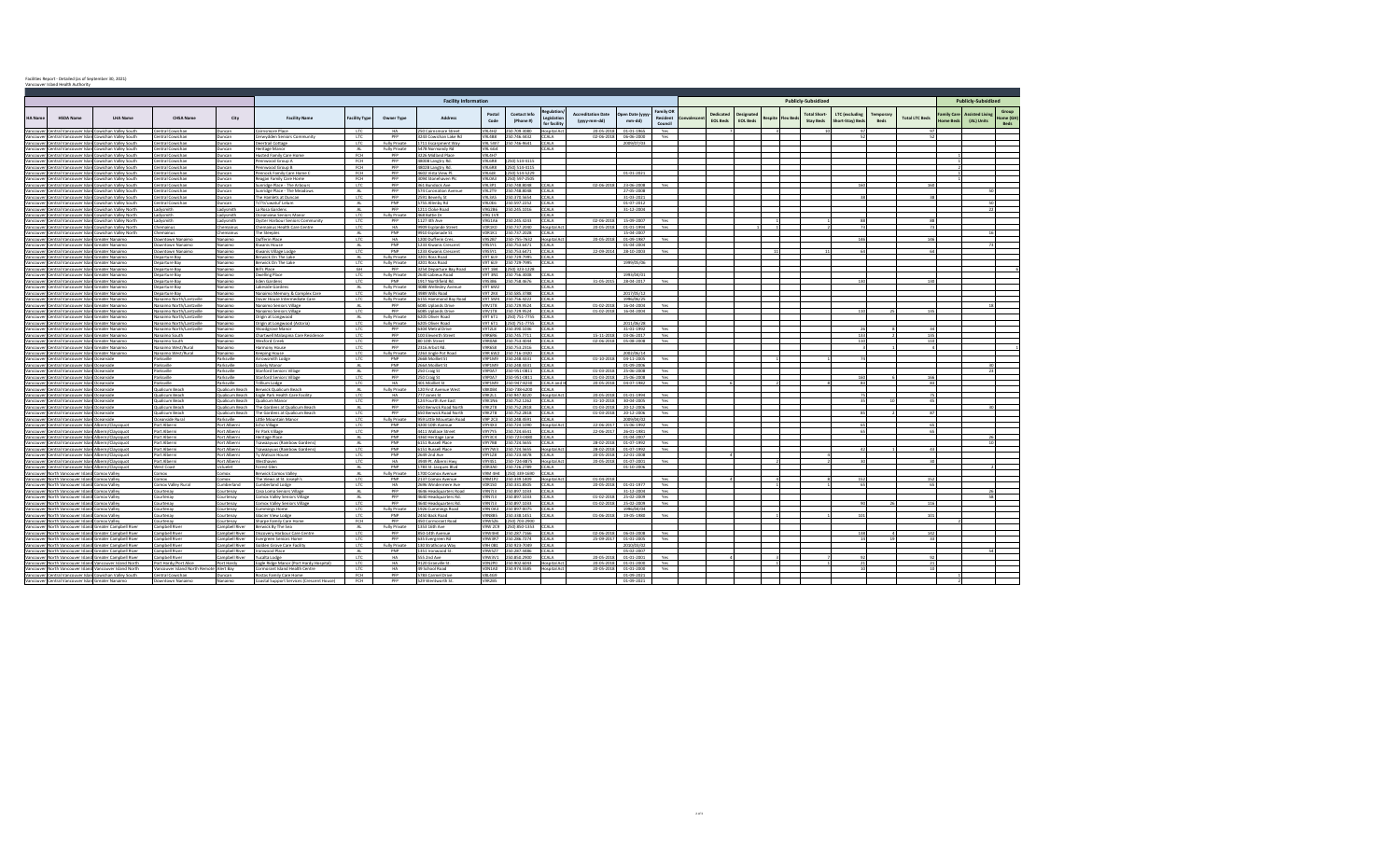|                |                                                                                                          |                                                         |                                                      |                                 |                                                                            |                   |                                    | <b>Facility Information</b>                        |                                |                                |                                     |                                           |                                     |                                         |            |                              |                              |         |          | <b>Publicly-Subsidized</b>             |                                           |                   |                       |                       | <b>Publicly-Subsidized</b>                       |
|----------------|----------------------------------------------------------------------------------------------------------|---------------------------------------------------------|------------------------------------------------------|---------------------------------|----------------------------------------------------------------------------|-------------------|------------------------------------|----------------------------------------------------|--------------------------------|--------------------------------|-------------------------------------|-------------------------------------------|-------------------------------------|-----------------------------------------|------------|------------------------------|------------------------------|---------|----------|----------------------------------------|-------------------------------------------|-------------------|-----------------------|-----------------------|--------------------------------------------------|
| <b>HA</b> Name | <b>HSDA Name</b>                                                                                         | <b>LHA Name</b>                                         | <b>CHSA Name</b>                                     | City                            | <b>Facility Name</b>                                                       | acility Type      | Owner Type                         | <b>Address</b>                                     | Postal<br>Code                 | Contact Info<br>(Phone #)      | teeulati<br>egislati<br>for facilit | <b>Accreditation Date</b><br>(yyyy-mm-dd) | Open Date (yyy<br>mm-dd)            | <b>Family OR</b><br>Resident<br>Council | convalesce | Dedicated<br><b>EOL Beds</b> | Designate<br><b>EOL Beds</b> | Respite | Flex Bed | <b>Total Short</b><br><b>Stay Beds</b> | <b>LTC</b> (excluding<br>Short-Stay) Bed: | Temporary<br>Reds | <b>Total LTC Beds</b> | amily Care<br>ome Bed | <b>Assisted Living</b><br>lome (GH<br>(AL) Units |
| Vancouver      |                                                                                                          | Central Vancouver Islan Cowichan Valley South           | Central Cowichan                                     | luncan                          | Cairnsmore Place                                                           | <b>LTC</b>        | <b>HA</b>                          | 250 Cairnsmore Street                              | V9L4H2                         | 50.709.3080                    | Hospital Act                        | 20-05-2018                                | $01 - 01 - 1965$                    | Yes                                     |            |                              |                              |         |          |                                        |                                           |                   |                       |                       |                                                  |
| Vancouver      | Vancouver Central Vancouver Islan Cowichan Valley South                                                  | Central Vancouver Islan Cowichan Valley South           | Central Cowichan<br>Central Cowichan                 | Duncan<br>Duncan                | Cerwydden Seniors Community<br>Deertrail Cottage                           | <b>LTC</b><br>LTC | <b>PFP</b><br>Fully Private        | 3243 Cowichan Lake Rd<br>1711 Escarpment Way       | <b>V9L4B8</b><br>V9I 5W7       | 0.746.4432<br>250 746-9641     | CCALA<br>CCALA                      | $02 - 06 - 201$                           | 06-06-2000<br>2009/07/03            | Yes                                     |            |                              |                              |         |          |                                        |                                           |                   |                       |                       |                                                  |
|                | Vancouver Central Vancouver Islan Cowichan Valley South                                                  |                                                         | Central Cowichan                                     | Duncan                          | Heritage Manor                                                             | AL                | <b>Fully Private</b>               | 5478 Normandy Rd                                   | V9L 6G4                        |                                | CCALA                               |                                           |                                     |                                         |            |                              |                              |         |          |                                        |                                           |                   |                       |                       |                                                  |
| Vancouver      | Central Vancouver Islan Cowichan Valley South                                                            |                                                         | Central Cowichan                                     | Duncan                          | Husted Family Care Home                                                    | FCH               | <b>PFP</b>                         | 3226 Midland Place                                 | V9L4H7                         |                                |                                     |                                           |                                     |                                         |            |                              |                              |         |          |                                        |                                           |                   |                       |                       |                                                  |
|                | Vancouver, Central Vancouver Islan Cowichan Valley South                                                 |                                                         | Central Cowichan                                     | Duncan                          | Pennwood Group A                                                           | FCH               | PFP                                | 4800B Langtry Rd.                                  | <b>V9L6R8</b>                  | 50) 514-4115                   |                                     |                                           |                                     |                                         |            |                              |                              |         |          |                                        |                                           |                   |                       |                       |                                                  |
| Vancouve       | Vancouver Central Vancouver Islan Cowichan Valley South                                                  | Central Vancouver Islan Cowichan Valley South           | Central Cowichan<br>Central Cowichan                 | Duncan                          | Pennwood Group B<br>Pennock Family Care Home (                             | FCH<br>FCH        | <b>PFP</b><br>PFP                  | 4802B Langtry Rd.<br>4602 Vista View Pl.           | <b>V9L6R8</b><br>V9L6J8        | 250) 514-4115<br>250) 514-5229 |                                     |                                           | $01 - 01 - 2021$                    |                                         |            |                              |                              |         |          |                                        |                                           |                   |                       |                       |                                                  |
|                | Vancouver, Central Vancouver Islan Cowichan Valley South                                                 |                                                         | Central Cowichar                                     | Duncan<br>Duncan                | Reagan Family Care Home                                                    | FCH               | <b>PFP</b>                         | 3094 Stonehaven Pl                                 | V9L0A3                         | 50) 597-2505                   |                                     |                                           |                                     |                                         |            |                              |                              |         |          |                                        |                                           |                   |                       |                       |                                                  |
|                | Vancouver Central Vancouver Islan Cowichan Valley South                                                  |                                                         | Central Cowichan                                     | Juncan                          | Sunridge Place - The Arbours                                               | LTC               | PFP                                | 361 Bundock Ave                                    | <b>V9L3P1</b>                  | 250.748.8048                   | CCALA                               | 02-06-2018                                | 23-06-2008                          | Yes                                     |            |                              |                              |         |          |                                        | 160                                       |                   | 160                   |                       |                                                  |
|                | Vancouver Central Vancouver Islan Cowichan Valley South                                                  |                                                         | Central Cowichan                                     | Duncan                          | Sunridge Place - The Meadow                                                | AL                | PFP                                | 574 Coronation Avenu                               | <b>V9L2T9</b>                  | 0.748.8048                     | CCALA                               |                                           | 27-05-2008                          |                                         |            |                              |                              |         |          |                                        |                                           |                   |                       |                       |                                                  |
| Vancouver      |                                                                                                          | Central Vancouver Islan Cowichan Valley South           | Central Cowichan                                     | Duncan                          | The Hamlets at Duncan                                                      | LTC               | PFP                                | 2591 Beverly St                                    | <b>24519V</b>                  | 250.370.5654                   | CCALA                               |                                           | 31-03-2021                          |                                         |            |                              |                              |         |          |                                        |                                           |                   |                       |                       |                                                  |
| Vancouver      | Vancouver Central Vancouver Islan Cowichan Valley South<br>Central Vancouver Islan Cowichan Valley North |                                                         | Central Cowichan<br>Ladysmith                        | Duncan<br>Ladysmith             | Ts'i'ts'uwatul' Lelum<br>La Rosa Gardens                                   | AL<br>AL.         | PNP<br>PFP                         | 5755 Allenby Rd<br>1211 Cloke Road                 | V9L0E6<br>V9G2B6               | 250.597.2252<br>50.245.1016    | <b>CCALA</b><br>CCALA               |                                           | $01 - 07 - 2012$<br>31-12-2004      |                                         |            |                              |                              |         |          |                                        |                                           |                   |                       |                       | 50<br>22                                         |
|                | Vancouver Central Vancouver Islan Cowichan Valley North                                                  |                                                         | Ladysmith                                            | advsmith                        | Oceanview Seniors Manor                                                    | LTC               | <b>Fully Private</b>               | 468 Battie Dr                                      | V9G 1V9                        |                                | CALA                                |                                           |                                     |                                         |            |                              |                              |         |          |                                        |                                           |                   |                       |                       |                                                  |
| Vancouve       |                                                                                                          | lentral Vancouver Islan Cowichan Valley North           | Ladysmith                                            | advsmith                        | Oyster Harbour Seniors Community                                           | <b>LTC</b>        | <b>PFP</b>                         | 1127 4th Ave                                       | V9G1A6                         | 0.245.4243                     | CCALA                               | 02-06-2018                                | 15-09-2007                          | Yes                                     |            |                              |                              |         |          |                                        |                                           |                   |                       |                       |                                                  |
|                | Vancouver Central Vancouver Islan Cowichan Valley North                                                  |                                                         | Chemainus                                            | Chemainus                       | Chemainus Health Care Centre                                               | LTC               | HA                                 | 9909 Esplande Street                               | VOR1KO                         | 50.737.2040                    | Hospital A                          | 20-05-2018                                | $01 - 01 - 1994$                    | Yes                                     |            |                              |                              |         |          |                                        |                                           |                   |                       |                       |                                                  |
|                |                                                                                                          | Central Vancouver Islan Cowichan Valley North           | Chemainus                                            | <b>Themainus</b>                | The Steeples                                                               | AL.               | PNP                                | 9910 Esplanade St                                  | VOR1K1                         | 50 737 2028                    | CCALA.                              |                                           | 15-04-2007                          |                                         |            |                              |                              |         |          |                                        |                                           |                   |                       |                       |                                                  |
| Vancouver      | Vancouver Central Vancouver Islan Greater Nanaimo<br>Central Vancouver Islan Greater Nanaimo             |                                                         | Downtown Nanaimo<br>Downtown Nanaimo                 | Nanaimo<br>Nanaimo              | Dufferin Place<br>Kiwanis House                                            | LTC<br>AL         | HA<br>PNP                          | 1200 Dufferin Cres.<br>1233 Kiwanis Crescent       | V9S2B7<br>V9SSY1               | 0-755-7632<br>50 753 6471      | Hospital Ac<br>CCALA                | 20-05-201                                 | $01 - 09 - 1987$<br>01-04-2004      | Yes                                     |            |                              |                              |         |          |                                        |                                           |                   | 146                   |                       |                                                  |
|                | Vancouver Central Vancouver Islan Greater Nanaimo                                                        |                                                         | Downtown Nanaimo                                     | Nanaimo                         | Kiwanis Village Lodge                                                      | LTC               | PNP                                | 1233 Kiwanis Crescent                              | V9SSY1                         | 50.753.6471                    | CCALA                               | 22-09-2014                                | 28-10-2003                          | Yes                                     |            |                              |                              |         |          |                                        |                                           |                   |                       |                       |                                                  |
|                | Vancouver Central Vancouver Islan Greater Nanaimo                                                        |                                                         | Departure Bay                                        | Nanaimo                         | Berwick On The Lake                                                        | AL                | Fully Private                      | 3201 Ross Road                                     | <b>P.13 TPV</b>                | 250 729-7995                   | CCALA                               |                                           |                                     |                                         |            |                              |                              |         |          |                                        |                                           |                   |                       |                       |                                                  |
|                | Vancouver Central Vancouver Islan Greater Nanaimo                                                        |                                                         | Departure Bay                                        | Nanaimo                         | Berwick On The Lake                                                        | LTC               | <b>Fully Private</b>               | 3201 Ross Road                                     | V9T 6L9                        | 50 729-7995                    | CCALA                               |                                           | 1999/05/06                          |                                         |            |                              |                              |         |          |                                        |                                           |                   |                       |                       |                                                  |
|                | Vancouver Central Vancouver Islan Greater Nanaimo                                                        |                                                         | Departure Bay                                        | Nanaimo                         | <b>Bill's Place</b>                                                        | <b>GH</b><br>LTC  | <b>DED</b>                         | 3254 Departure Bay Road<br>2630 Labieux Road       | V9T 1R4<br>V9T 3N1             | 2501323-1228<br>8005 325 025   |                                     |                                           |                                     |                                         |            |                              |                              |         |          |                                        |                                           |                   |                       |                       |                                                  |
|                | Vancouver Central Vancouver Islan Greater Nanaimo<br>Vancouver Central Vancouver Islan Greater Nanaimo   |                                                         | Departure Bay<br>Departure Bay                       | Nanaimo<br>Nanaimo              | <b>Dwelling Place</b><br><b>Eden Gardens</b>                               | LTC               | <b>Fully Private</b><br><b>DND</b> | 1917 Northfield Rd                                 | 205201                         | 250.758.4676                   | CCALA<br>CCALA                      |                                           | 1993/04/01<br>31-05-2015 28-04-2017 | Yes                                     |            |                              |                              |         |          |                                        | 130                                       |                   | 130                   |                       |                                                  |
|                | Vancouver Central Vancouver Islan Greater Nanaimo                                                        |                                                         | Departure Bay                                        | Nanaimo                         | Lakeside Gardens                                                           | AL.               | Fully Private                      | 4088 Wellesley Avenue                              | V9T 6M2                        |                                | CALA <sup>-</sup>                   |                                           |                                     |                                         |            |                              |                              |         |          |                                        |                                           |                   |                       |                       |                                                  |
| Vancouve       | lentral Vancouver Islan Greater Nanaimo                                                                  |                                                         | Departure Bay                                        | Nanaimo                         | Nanaimo Memory & Complex Care                                              | LTC               | <b>Fully Private</b>               | 4989 Wills Road                                    | <b>V9T 2K4</b>                 | 60.585.3788                    | CCALA                               |                                           | 2017/05/12                          |                                         |            |                              |                              |         |          |                                        |                                           |                   |                       |                       |                                                  |
|                | Vancouver Central Vancouver Islan Greater Nanaimo                                                        |                                                         | Nanaimo North/Lantzville                             | Nanaimo                         | Dover House Intermediate Care                                              | <b>ITC</b>        | Fully Private                      | 6155 Hammond Bay Road                              | V9T 5M4                        | 250.756.4222                   | CCALA                               |                                           | 1996/06/25                          |                                         |            |                              |                              |         |          |                                        |                                           |                   |                       |                       |                                                  |
|                | Vancouver Central Vancouver Islan Greater Nanaimo                                                        |                                                         | Nanaimo North/Lantzville<br>Nanaimo North/Lantzville | Nanaimo<br>Nanaimo              | Nanaimo Seniors Village<br>Nanaimo Seniors Village                         | AL.<br><b>ITC</b> | PFP<br><b>PFP</b>                  | 6085 Uplands Drive<br>6085 Unlands Drive           | <b>V9V1T8</b><br>V9V1TR        | 50.729.9524<br>250 729 9524    | CCALA<br>CCALA                      | $01 - 02 - 2018$                          | 16-04-2004<br>01-02-2018 16-04-2004 | Yes                                     |            |                              |                              |         |          |                                        | 110                                       |                   | 135                   |                       |                                                  |
|                | Vancouver Central Vancouver Islan Greater Nanaimo<br>Vancouver Central Vancouver Islan Greater Nanaimo   |                                                         | Nanaimo North/Lantzville                             | Nanaimo                         | Origin at Longwood                                                         | AL                | <b>Fully Private</b>               | 6205 Oliver Road                                   | V9T 6T1                        | 2501 751-7755                  | CCALA                               |                                           |                                     | Yes.                                    |            |                              |                              |         |          |                                        |                                           |                   |                       |                       |                                                  |
|                | Vancouver Central Vancouver Islan Greater Nanaimo                                                        |                                                         | Nanaimo North/Lantzville                             | Nanaimo                         | Origin at Longwood (Astoria)                                               | <b>LTC</b>        | Fully Private                      | 6205 Oliver Road                                   | V9T 6T1                        | (250) 751-7755 CCALA           |                                     |                                           | 2011/06/28                          |                                         |            |                              |                              |         |          |                                        |                                           |                   |                       |                       |                                                  |
|                | Vancouver Central Vancouver Islan Greater Nanaimo                                                        |                                                         | Nanaimo North/Lantzville                             | Nanaimo                         | Woodgrove Manor                                                            | LTC               | <b>PFP</b>                         | 6304 Metral Drive                                  | V9T2L8                         | 3501 095 025                   | CCALA                               |                                           | $31 - 01 - 1992$                    | Yes.                                    |            |                              |                              |         |          |                                        |                                           |                   |                       |                       |                                                  |
|                | Vancouver Central Vancouver Islan Greater Nanaimo                                                        |                                                         | Nanaimo South                                        | Nanaimo                         | Chartwell Malaspina Care Residence                                         | LTC               | <b>DED</b>                         | 100 Eleventh Street                                | <b>ARABPV</b>                  | 250.745.7711                   | CCALA                               | 15-11-2018                                | 03-06-2017                          | Yes                                     |            |                              |                              |         |          |                                        | 133                                       |                   | 135                   |                       |                                                  |
|                | Vancouver Central Vancouver Islan Greater Nanaimo                                                        |                                                         | Nanaimo South                                        | Nanaimo                         | Wexford Creek                                                              | <b>ITC</b><br>LTC | <b>PFP</b><br>PFP                  | 80 10th Street<br>2316 Arbot Rd                    | V9R0AR<br><b>V9R6S8</b>        | 50 753 4044<br>50.753.2316     | CCALA<br>CCALA                      | 02-06-2018                                | 05-08-2008                          | Yes                                     |            |                              |                              |         |          |                                        | 110                                       |                   | 110                   |                       |                                                  |
| Vancouver      | lentral Vancouver Islan Greater Nanaimo<br>Vancouver Central Vancouver Islan Greater Nanaimo             |                                                         | Nanaimo West/Rural<br>Nanaimo West/Rural             | Nanaimo<br>Nanaimo              | Harmony House<br>Keeping House                                             | LTC.              | <b>Fully Private</b>               | 2263 Jingle Pot Road                               | V9R 6W2                        | 250 716-1920                   | CCALA                               |                                           | 2002/06/14                          |                                         |            |                              |                              |         |          |                                        |                                           |                   |                       |                       |                                                  |
|                | Vancouver Central Vancouver Islan Oceanside                                                              |                                                         | Parksville                                           | Parksville                      | Arrowsmith Lodge                                                           | LTC               | PNP                                | 266B Moilliet St                                   | V9P1M9                         | 250.248.4331                   | CCALA                               | 01-10-2018                                | 04-11-2005                          | Yes                                     |            |                              |                              |         |          |                                        |                                           |                   |                       |                       |                                                  |
|                | Vancouver Central Vancouver Islan Oceanside                                                              |                                                         | Parksville                                           | Parksville                      | Cokely Manor                                                               | AL                | PNP                                | 266A Moilliet St                                   | <b>V9P1M9</b>                  | 250.248.4331                   | CCALA                               |                                           | 01-09-2006                          |                                         |            |                              |                              |         |          |                                        |                                           |                   |                       |                       |                                                  |
|                | Vancouver Central Vancouver Islan Oceanside                                                              |                                                         | Parksville                                           | Parksville                      | <b>Stanford Seniors Village</b>                                            | AL                | PFP                                | 250 Craig St                                       | <b>V9P0A7</b>                  | 50-951-0811                    | CCALA                               | 01-03-2018                                | 25-06-2008                          | Yes                                     |            |                              |                              |         |          |                                        |                                           |                   |                       |                       | $^{23}$                                          |
|                | Vancouver Central Vancouver Islan Oceanside<br>Vancouver Central Vancouver Islan Oceanside               |                                                         | Parksville<br>Parksville                             | Parksville<br>Parksville        | <b>Stanford Seniors Village</b><br>Trillium Lodge                          | LTC<br>LTC        | <b>PFP</b><br><b>HA</b>            | 250 Craig St<br>401 Moilliet St                    | V9P0A7<br>PMF9PV               | 0-951-0811<br>250-947-8230     | CCALA<br>CCALA and                  | $01 - 03 - 201$<br>20-05-2018             | 25-06-2008<br>04-07-1982            | Yes<br>Yes                              |            |                              |                              |         |          |                                        | 83                                        |                   | 168<br>83             |                       |                                                  |
|                | Vancouver Central Vancouver Islan Oceanside                                                              |                                                         | Qualicum Beach                                       | Qualicum Beach                  | Berwick Qualicum Beach                                                     | AL.               | <b>Fully Private</b>               | 120 First Avenue Wes                               | V8K0B4                         | 50-738-6200                    | CCALA                               |                                           |                                     |                                         |            |                              |                              |         |          |                                        |                                           |                   |                       |                       |                                                  |
| /ancouver      | Central Vancouver Islan Oceanside                                                                        |                                                         | Qualicum Beach                                       |                                 | Qualicum Beach Eagle Park Health Care Facility                             | LTC               | <b>HA</b>                          | 777 Jones St                                       | V9K211                         | 50 947.8220                    | <b>Hospital Ac</b>                  | 20-05-2018                                | 01-01-1994                          | Yes                                     |            |                              |                              |         |          |                                        |                                           |                   |                       |                       |                                                  |
|                | Vancouver Central Vancouver Islan Oceanside                                                              |                                                         | Qualicum Beach                                       | Qualicum Beach                  | Qualicum Manor                                                             | LTC               | PFP                                | 124 Fourth Ave East                                | <b>V9K1N6</b>                  | 60.752.1262                    | CALA                                | 31-10-2018                                | 30-04-2005                          | Yes                                     |            |                              |                              |         |          |                                        |                                           |                   | AC                    |                       |                                                  |
| Vancouve       | entral Vancouver Islan Oceanside                                                                         |                                                         | Qualicum Beach                                       |                                 | Qualicum Beach The Gardens at Qualicum Beach                               | AL                | PFP<br><b>PFP</b>                  | 650 Berwick Road North                             | <b>V9K2T8</b><br><b>V9K2T8</b> | 50.752.2818<br>50.752.2818     | CCALA<br>CCALA                      | $01 - 03 - 2018$                          | 20-12-2006                          | Yes                                     |            |                              |                              |         |          |                                        |                                           |                   |                       |                       |                                                  |
| Vancouve       | Vancouver Central Vancouver Islan Oceanside<br>Central Vancouver Islan Oceanside                         |                                                         | Qualicum Beach<br>Oceanside Rural                    | Qualicum Beach<br>Parksville    | The Gardens at Qualicum Beach<br>little Mountain Manor                     | LTC<br><b>LTC</b> | Fully Private                      | 650 Berwick Road North<br>959 Little Mountain Road | <b>V9P 2C3</b>                 | 0.248.4591                     | 'CALA                               | 01-03-2018                                | 20-12-2006<br>2009/04/02            | Yes                                     |            |                              |                              |         |          |                                        |                                           |                   |                       |                       |                                                  |
|                | Vancouver, Central Vancouver Islan Alberni/Clayoquot                                                     |                                                         | Port Alberni                                         | Port Alberni                    | Echo Village                                                               | LTC               | PNP                                | 4200 10th Avenue                                   | V9Y4X3                         | 0.724.1090                     | Hospital Ac                         | 22-06-201                                 | 15-06-1992                          | Yes                                     |            |                              |                              |         |          |                                        |                                           |                   |                       |                       |                                                  |
| Vancouve       | Central Vancouver Islan Alberni/Clayoquot                                                                |                                                         | Port Alberni                                         | Port Alberni                    | Fir Park Village                                                           | LTC               | PNP                                | 4411 Wallace Street                                | V9Y7Y5                         | 50.724.6541                    | CCALA.                              | 22-06-2017                                | 26-01-1981                          | Yes                                     |            |                              |                              |         |          |                                        |                                           |                   | 65                    |                       |                                                  |
|                | Vancouver Central Vancouver Islan Alberni/Clayoquot                                                      |                                                         | Port Alberni                                         | Port Alberni                    | <b>Heritage Place</b>                                                      | AL                | PNP                                | 4360 Heritage Lane                                 | V9Y3C4                         | 60-723-0480                    | CCALA                               |                                           | $01 - 04 - 2007$                    |                                         |            |                              |                              |         |          |                                        |                                           |                   |                       |                       |                                                  |
| /ancouver      | Vancouver Central Vancouver Islan Alberni/Clayoquot<br>Central Vancouver Islan Alberni/Clayoquot         |                                                         | Port Alberni<br>Port Alberni                         | Port Alberni<br>ort Alberni     | <b>Tsawaayuus (Rainbow Gardens)</b><br><b>Tsawaayuus (Rainbow Gardens)</b> | AL<br>LTC         | PNP<br>PNP                         | 6151 Russell Place<br>6151 Russell Place           | <b>V9Y7B8</b><br>V9Y7W3        | 0.724.5655<br>50.724.5655      | CCALA<br><b>Hospital Ac</b>         | 28-02-201<br>28-02-2018                   | 01-07-1992<br>01-07-1992            | Yes<br>Yes                              |            |                              |                              |         |          |                                        | 47                                        |                   | 43                    |                       |                                                  |
|                | Vancouver Central Vancouver Islan Alberni/Clayoquot                                                      |                                                         | Port Alberni                                         | Port Alberni                    | Ty Watson House                                                            | LTC               | PNP                                | 2649 2nd Ave                                       | <b>V9Y1Z8</b>                  | 60.723.4478                    | CALA                                | 20-05-2018                                | 22-01-2008                          |                                         |            |                              |                              |         |          |                                        |                                           |                   |                       |                       |                                                  |
| Vancouve       | entral Vancouver Islan Alberni/Clayoquot                                                                 |                                                         | Port Alberni                                         | Port Alberni                    | Westhaven                                                                  | <b>LTC</b>        | HA                                 | 3949 Pt. Alberni Hwy                               | V9Y4S1                         | 50-724-8875                    | Hospital Ad                         | 20-05-2018                                | 01-07-2001                          | Yes                                     |            |                              |                              |         |          |                                        |                                           |                   |                       |                       |                                                  |
|                | Vancouver Central Vancouver Islan Alberni/Clayoquot                                                      |                                                         | West Coast                                           | Ucluelet                        | Forest Glen                                                                | AL                | PNP                                | 1783 St. Jacques Blvd                              | V0R3A0                         | 50.726.2789                    | CCALA                               |                                           | 01-10-2006                          |                                         |            |                              |                              |         |          |                                        |                                           |                   |                       |                       |                                                  |
|                | Vancouver North Vancouver Island Comox Valley                                                            |                                                         | Comox                                                | xomc                            | Berwick Comox Valley                                                       | AL.               | Fully Private<br>PNP               | 1700 Comox Avenue                                  | <b>MAN MPV</b>                 | 2501339-1690                   | TCALA .                             |                                           |                                     |                                         |            |                              |                              |         |          |                                        |                                           |                   |                       |                       |                                                  |
|                | Vancouver North Vancouver Island Comox Valley<br>Vancouver North Vancouver Island Comox Valley           |                                                         | Comox<br>Comox Valley Rura                           | Comox<br>Cumberland             | The Views at St. Joseph's<br>Cumberland Lodge                              | LTC<br><b>LTC</b> | <b>HA</b>                          | 137 Comox Avenue<br>2696 Windermere Ave            | <b>V9M1P2</b><br>VOR150        | 0.339.1409<br>50.331.8505      | Hospital Ac<br>CCALA                | $01 - 04 - 201$<br>20-05-2018             | 01-01-1977                          | Yes<br>Yes                              |            |                              |                              |         |          |                                        | 65                                        |                   | 65                    |                       |                                                  |
|                | Vancouver North Vancouver Island Comox Valley                                                            |                                                         | Courtenay                                            | Courtenay                       | Casa Loma Seniors Village                                                  | AL.               | PFP                                | 4646 Headquarters Road                             | V9N7J3                         | 60.897.1033                    | CCALA                               |                                           | 31-12-2004                          | Yes                                     |            |                              |                              |         |          |                                        |                                           |                   |                       |                       |                                                  |
|                | ancouver North Vancouver Island Comox Valley                                                             |                                                         | Courtenav                                            | Courtenay                       | Comox Valley Seniors Village                                               | AL                | <b>PFP</b>                         | 4640 Headquarters Rd                               | V9N713                         | 250.897.1033                   | CCALA                               | $01 - 02 - 2018$                          | 25-02-2009                          | Yes.                                    |            |                              |                              |         |          |                                        |                                           |                   |                       |                       | 58                                               |
|                | Vancouver North Vancouver Island Comox Valley                                                            |                                                         | Courtenay                                            | Courtenav                       | Comox Valley Seniors Village                                               | LTC               | PFP                                | 4640 Headquarters Rd.                              | V9N7J3                         | 0.897.1033                     | CCALA                               | $01 - 02 - 2018$                          | 25-02-2009                          | Yes                                     |            |                              |                              |         |          |                                        |                                           |                   | 116                   |                       |                                                  |
|                | Vancouver North Vancouver Island Comox Valley                                                            |                                                         | Courtenav                                            | Courtenav<br>Courtenav          | Cummings Home                                                              | <b>LTC</b><br>LTC | <b>Cultural Drivate</b><br>PNP     | 1926 Cummings Road                                 | <b>MON 0A2</b><br>V9NRRS       | 250.897-0075<br>250 338 1451   | CCALA<br>CCALA                      |                                           | 1996/04/04                          | Yes                                     |            |                              |                              |         |          |                                        |                                           |                   | 101                   |                       |                                                  |
|                | Vancouver North Vancouver Island Comox Valley<br>Vancouver North Vancouver Island Comox Valley           |                                                         | Courtenay<br>Courtenav                               | Courtenav                       | Glacier View Lodge<br>Sharpe Family Care Home                              | <b>FCH</b>        | <b>DED</b>                         | 2450 Back Road<br>450 Cormorant Road               | V9W576                         | (250) 203-2900                 |                                     | 01-06-201                                 | 19-05-1980                          |                                         |            |                              |                              |         |          |                                        |                                           |                   |                       |                       |                                                  |
|                |                                                                                                          | Vancouver North Vancouver Island Greater Campbell River | Campbell River                                       | Campbell River                  | Berwick By The Sea                                                         | AL                | Fully Private                      | 1353 16th Ave                                      | V9W 2C9                        | (250) 850-1353                 | CCALA                               |                                           |                                     |                                         |            |                              |                              |         |          |                                        |                                           |                   |                       |                       |                                                  |
|                |                                                                                                          | Vancouver North Vancouver Island Greater Campbell River | Campbell River                                       | ampbell River                   | Discovery Harbour Care Centre                                              | LTC               | <b>PFP</b>                         | 850-14th Avenue                                    | V9W4H4                         | 250.287.7166                   | CCALA                               | 02-06-2018                                | 06-03-2008                          | Yes                                     |            |                              |                              |         |          |                                        | 138                                       |                   | 142                   |                       |                                                  |
|                |                                                                                                          | Vancouver North Vancouver Island Greater Campbell River | Campbell River                                       | Campbell River                  | Evergreen Seniors Home                                                     | LTC.              | <b>DED</b>                         | 635 Evergreen Rd                                   | <b>V9W3R7</b>                  | 250.286.7274                   | CCALA                               | 25-09-2017                                | 01-01-2005                          | Yes                                     |            |                              |                              |         |          |                                        |                                           |                   |                       |                       |                                                  |
|                | Vancouver North Vancouver Island Greater Campbell River                                                  |                                                         | Campbell River                                       | Campbell River                  | Golden Grove Care Facility                                                 | LTC               | <b>Fully Private</b><br>PNP        | 130 Strathcona Way                                 | V9H 0B1<br><b>V9W577</b>       | 50 923-7049<br>0.287 4486      | CCALA<br>CCALA                      |                                           | 2010/03/02<br>05-02-2007            |                                         |            |                              |                              |         |          |                                        |                                           |                   |                       |                       |                                                  |
|                | Vancouver North Vancouver Island Greater Campbell River                                                  | Vancouver North Vancouver Island Greater Campbell River | Campbell River<br>Campbell River                     | Campbell River<br>ampbell River | Ironwood Place<br>Yucalta Lodge                                            | AL.<br><b>LTC</b> | HA                                 | 1351 Ironwood St.<br>555 2nd Ave                   | V9W3V1                         | 50.850.2900                    | CCALA                               | 20-05-2018                                | $01 - 01 - 2001$                    | Yes                                     |            |                              |                              |         |          |                                        |                                           |                   |                       |                       |                                                  |
|                |                                                                                                          | Vancouver North Vancouver Island Vancouver Island North | Port Hardy/Port Alice                                | Port Hardy                      | Eagle Ridge Manor (Port Hardy Hospital)                                    | <b>LTC</b>        | <b>HA</b>                          | 9120 Granville S                                   | <b>VON2PO</b>                  | 60.902.6043                    | lospital Ac                         | 20-05-2018                                | $01 - 01 - 2000$                    | Yes                                     |            |                              |                              |         |          |                                        |                                           |                   |                       |                       |                                                  |
|                |                                                                                                          | Vancouver North Vancouver Island Vancouver Island North | Vancouver Island North Remote                        | Alert Bay                       | Cormorant Island Health Centre                                             | <b>ITC</b>        | <b>HA</b>                          | 49 School Road                                     | <b>MONTAGE</b>                 | 250 974 5585                   | Hospital Ac                         | 20-05-2018                                | 01-01-2000                          | Yes                                     |            |                              |                              |         |          |                                        |                                           |                   |                       |                       |                                                  |
|                |                                                                                                          | Vancouver Central Vancouver Islan Cowichan Valley South | Central Cowichan                                     | Duncan                          | Rostas Family Care Home                                                    | FCH               | PFP                                | 5783 Carmel Drive                                  | <b>V8L4G9</b>                  |                                |                                     |                                           | 01-09-2021                          |                                         |            |                              |                              |         |          |                                        |                                           |                   |                       |                       |                                                  |
|                | Vancouver Central Vancouver Islan Greater Nanaimo                                                        |                                                         | Downtown Nanaimi                                     | Nanaimo                         | Coastal Sunnort Services (Crescent House)                                  | FCH               | <b>DED</b>                         | 529 Wentworth St                                   | 1/09285                        |                                |                                     |                                           | $01 - 09 - 202$                     |                                         |            |                              |                              |         |          |                                        |                                           |                   |                       |                       |                                                  |